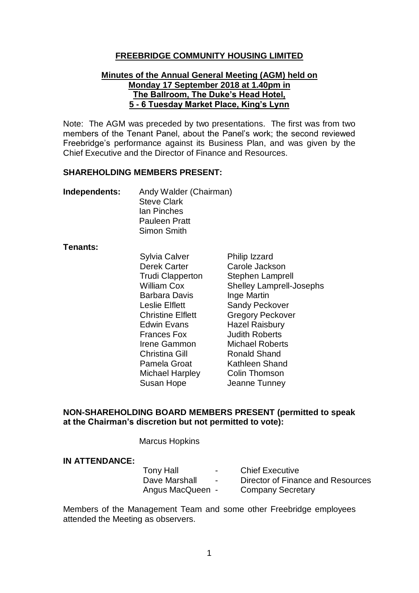### **FREEBRIDGE COMMUNITY HOUSING LIMITED**

#### **Minutes of the Annual General Meeting (AGM) held on Monday 17 September 2018 at 1.40pm in The Ballroom, The Duke's Head Hotel, 5 - 6 Tuesday Market Place, King's Lynn**

Note: The AGM was preceded by two presentations. The first was from two members of the Tenant Panel, about the Panel's work; the second reviewed Freebridge's performance against its Business Plan, and was given by the Chief Executive and the Director of Finance and Resources.

#### **SHAREHOLDING MEMBERS PRESENT:**

| Independents: | Andy Walder (Chairman) |
|---------------|------------------------|
|               | <b>Steve Clark</b>     |
|               | lan Pinches            |
|               | <b>Pauleen Pratt</b>   |
|               | Simon Smith            |

#### **Tenants:**

Sylvia Calver Philip Izzard Derek Carter Carole Jackson Barbara Davis Inge Martin Edwin Evans Hazel Raisbury Frances Fox Judith Roberts Christina Gill **Ronald Shand** Michael Harpley Colin Thomson Susan Hope Jeanne Tunney

Trudi Clapperton Stephen Lamprell William Cox Shelley Lamprell-Josephs Leslie Elflett Sandy Peckover Christine Elflett **Gregory Peckover** Irene Gammon Michael Roberts Pamela Groat Kathleen Shand

### **NON-SHAREHOLDING BOARD MEMBERS PRESENT (permitted to speak at the Chairman's discretion but not permitted to vote):**

Marcus Hopkins

### **IN ATTENDANCE:**

| <b>Tony Hall</b> | $\sim$ | <b>Chief Executive</b>            |
|------------------|--------|-----------------------------------|
| Dave Marshall    | $\sim$ | Director of Finance and Resources |
| Angus MacQueen - |        | <b>Company Secretary</b>          |

Members of the Management Team and some other Freebridge employees attended the Meeting as observers.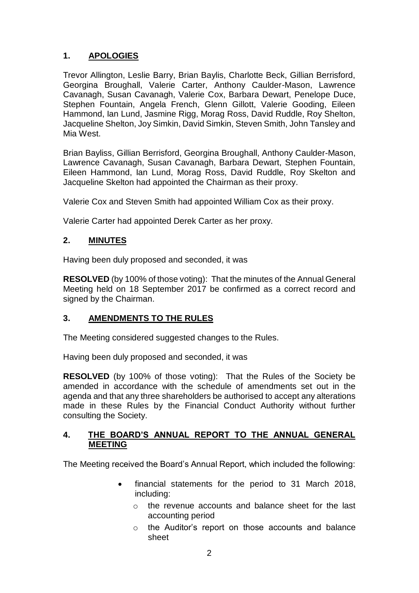# **1. APOLOGIES**

Trevor Allington, Leslie Barry, Brian Baylis, Charlotte Beck, Gillian Berrisford, Georgina Broughall, Valerie Carter, Anthony Caulder-Mason, Lawrence Cavanagh, Susan Cavanagh, Valerie Cox, Barbara Dewart, Penelope Duce, Stephen Fountain, Angela French, Glenn Gillott, Valerie Gooding, Eileen Hammond, Ian Lund, Jasmine Rigg, Morag Ross, David Ruddle, Roy Shelton, Jacqueline Shelton, Joy Simkin, David Simkin, Steven Smith, John Tansley and Mia West.

Brian Bayliss, Gillian Berrisford, Georgina Broughall, Anthony Caulder-Mason, Lawrence Cavanagh, Susan Cavanagh, Barbara Dewart, Stephen Fountain, Eileen Hammond, Ian Lund, Morag Ross, David Ruddle, Roy Skelton and Jacqueline Skelton had appointed the Chairman as their proxy.

Valerie Cox and Steven Smith had appointed William Cox as their proxy.

Valerie Carter had appointed Derek Carter as her proxy.

## **2. MINUTES**

Having been duly proposed and seconded, it was

**RESOLVED** (by 100% of those voting):That the minutes of the Annual General Meeting held on 18 September 2017 be confirmed as a correct record and signed by the Chairman.

## **3. AMENDMENTS TO THE RULES**

The Meeting considered suggested changes to the Rules.

Having been duly proposed and seconded, it was

**RESOLVED** (by 100% of those voting): That the Rules of the Society be amended in accordance with the schedule of amendments set out in the agenda and that any three shareholders be authorised to accept any alterations made in these Rules by the Financial Conduct Authority without further consulting the Society.

### **4. THE BOARD'S ANNUAL REPORT TO THE ANNUAL GENERAL MEETING**

The Meeting received the Board's Annual Report, which included the following:

- financial statements for the period to 31 March 2018, including:
	- o the revenue accounts and balance sheet for the last accounting period
	- o the Auditor's report on those accounts and balance sheet